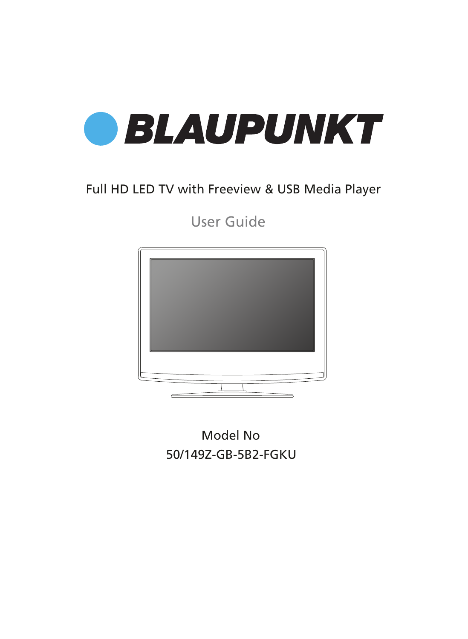

### Full HD LED TV with Freeview & USB Media Player

User Guide



Model No 50/149Z-GB-5B2-FGKU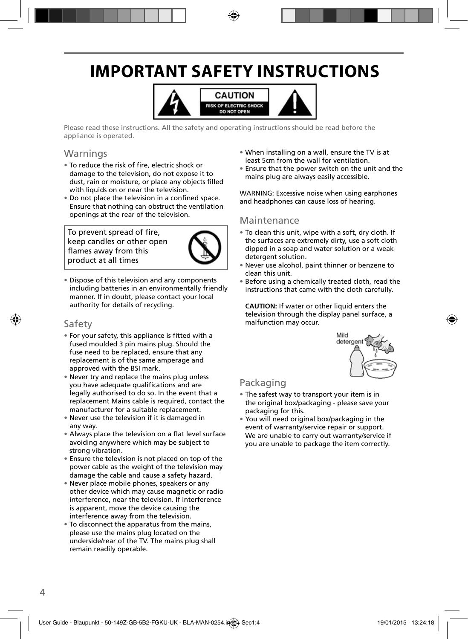## **IMPORTANT SAFETY INSTRUCTIONS**



Please read these instructions. All the safety and operating instructions should be read before the appliance is operated.

### Warnings

- To reduce the risk of fire, electric shock or damage to the television, do not expose it to dust, rain or moisture, or place any objects filled with liquids on or near the television.
- Do not place the television in a confined space. Ensure that nothing can obstruct the ventilation openings at the rear of the television.

To prevent spread of fire, keep candles or other open flames away from this product at all times



• Dispose of this television and any components including batteries in an environmentally friendly manner. If in doubt, please contact your local authority for details of recycling.

#### Safety

- For your safety, this appliance is fitted with a fused moulded 3 pin mains plug. Should the fuse need to be replaced, ensure that any replacement is of the same amperage and approved with the BSI mark.
- Never try and replace the mains plug unless you have adequate qualifications and are legally authorised to do so. In the event that a replacement Mains cable is required, contact the manufacturer for a suitable replacement.
- Never use the television if it is damaged in any way.
- Always place the television on a flat level surface avoiding anywhere which may be subject to strong vibration.
- Ensure the television is not placed on top of the power cable as the weight of the television may damage the cable and cause a safety hazard.
- Never place mobile phones, speakers or any other device which may cause magnetic or radio interference, near the television. If interference is apparent, move the device causing the interference away from the television.
- To disconnect the apparatus from the mains, please use the mains plug located on the underside/rear of the TV. The mains plug shall remain readily operable.
- When installing on a wall, ensure the TV is at least 5cm from the wall for ventilation.
- Ensure that the power switch on the unit and the mains plug are always easily accessible.

WARNING: Excessive noise when using earphones and headphones can cause loss of hearing.

#### Maintenance

- To clean this unit, wipe with a soft, dry cloth. If the surfaces are extremely dirty, use a soft cloth dipped in a soap and water solution or a weak detergent solution.
- Never use alcohol, paint thinner or benzene to clean this unit.
- Before using a chemically treated cloth, read the instructions that came with the cloth carefully.

**CAUTION:** If water or other liquid enters the television through the display panel surface, a malfunction may occur.



### Packaging

- The safest way to transport your item is in the original box/packaging - please save your packaging for this.
- You will need original box/packaging in the event of warranty/service repair or support. We are unable to carry out warranty/service if you are unable to package the item correctly.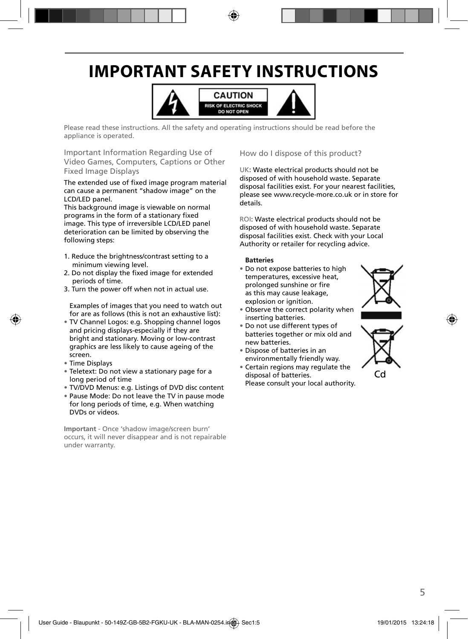## **IMPORTANT SAFETY INSTRUCTIONS**



Please read these instructions. All the safety and operating instructions should be read before the appliance is operated.

Important Information Regarding Use of Video Games, Computers, Captions or Other Fixed Image Displays

The extended use of fixed image program material can cause a permanent "shadow image" on the LCD/LED panel.

This background image is viewable on normal programs in the form of a stationary fixed image. This type of irreversible LCD/LED panel deterioration can be limited by observing the following steps:

- 1. Reduce the brightness/contrast setting to a minimum viewing level.
- 2. Do not display the fixed image for extended periods of time.
- 3. Turn the power off when not in actual use.

Examples of images that you need to watch out for are as follows (this is not an exhaustive list):

- TV Channel Logos: e.g. Shopping channel logos and pricing displays-especially if they are bright and stationary. Moving or low-contrast graphics are less likely to cause ageing of the screen.
- Time Displays
- Teletext: Do not view a stationary page for a long period of time
- TV/DVD Menus: e.g. Listings of DVD disc content
- Pause Mode: Do not leave the TV in pause mode for long periods of time, e.g. When watching DVDs or videos.

**Important** - Once 'shadow image/screen burn' occurs, it will never disappear and is not repairable under warranty.

#### How do I dispose of this product?

UK: Waste electrical products should not be disposed of with household waste. Separate disposal facilities exist. For your nearest facilities, please see www.recycle-more.co.uk or in store for details.

ROI: Waste electrical products should not be disposed of with household waste. Separate disposal facilities exist. Check with your Local Authority or retailer for recycling advice.

#### **Batteries**

• Do not expose batteries to high temperatures, excessive heat, prolonged sunshine or fire as this may cause leakage, explosion or ignition.



- Observe the correct polarity when inserting batteries.
- Do not use different types of batteries together or mix old and new batteries.
- Dispose of batteries in an environmentally friendly way.
- Certain regions may regulate the disposal of batteries. Please consult your local authority.



Cd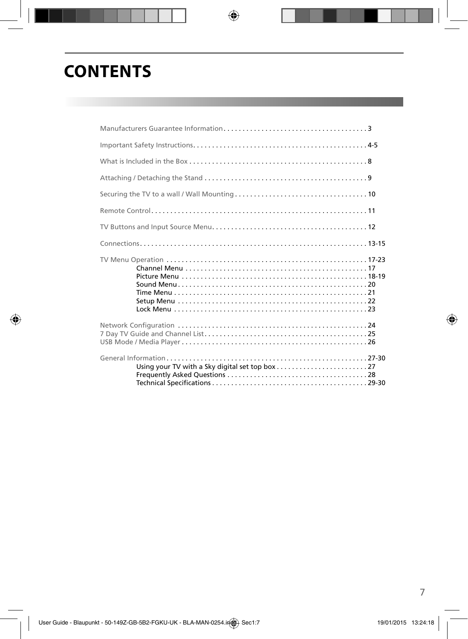## **CONTENTS**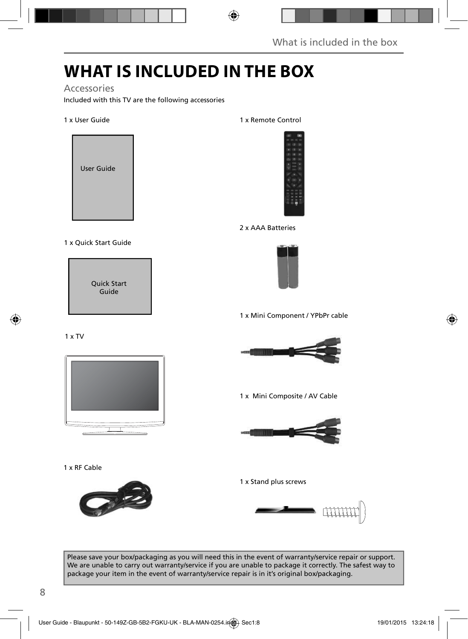## **WHAT IS INCLUDED IN THE BOX**

### Accessories

Included with this TV are the following accessories

#### 1 x User Guide



#### 1 x Quick Start Guide



#### 1 x Remote Control



#### 2 x AAA Batteries



1 x Mini Component / YPbPr cable



1 x Mini Composite / AV Cable



1 x Stand plus screws



Please save your box/packaging as you will need this in the event of warranty/service repair or support. We are unable to carry out warranty/service if you are unable to package it correctly. The safest way to package your item in the event of warranty/service repair is in it's original box/packaging.



1 x RF Cable

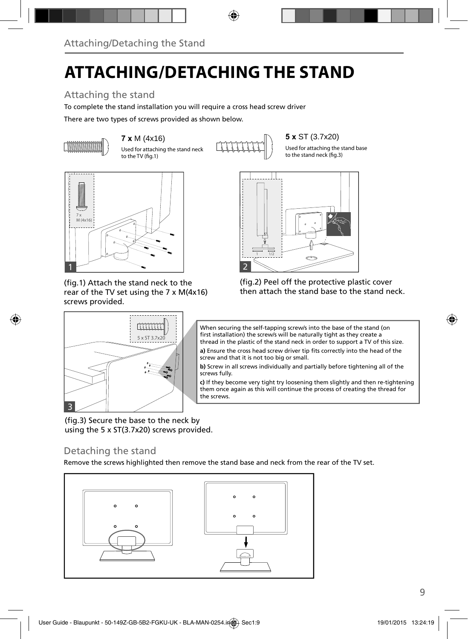# **ATTACHING/DETACHING THE STAND**

### Attaching the stand

To complete the stand installation you will require a cross head screw driver

There are two types of screws provided as shown below.



 $7 \times M$  (4x16) **5**  $\times$  ST (3.7x20) **5 5**  $\times$  ST (3.7x20) **5** Used for attaching the stand neck **5** Used for attaching the stand neck to the TV (fig.1)

Used for attaching the stand base to the stand neck (fig.3)



(fig.1) Attach the stand neck to the rear of the TV set using the 7 x M(4x16) screws provided.

5 x ST 3.7x20

mm



(fig.2) Peel off the protective plastic cover then attach the stand base to the stand neck.



a) Ensure the cross head screw driver tip fits correctly into the head of the screw and that it is not too big or small.

**b)** Screw in all screws individually and partially before tightening all of the screws fully.

**c)** If they become very tight try loosening them slightly and then re-tightening them once again as this will continue the process of creating the thread for the screws.

(fig.3) Secure the base to the neck by using the 5 x ST(3.7x20) screws provided.

### Detaching the stand

3

Remove the screws highlighted then remove the stand base and neck from the rear of the TV set.

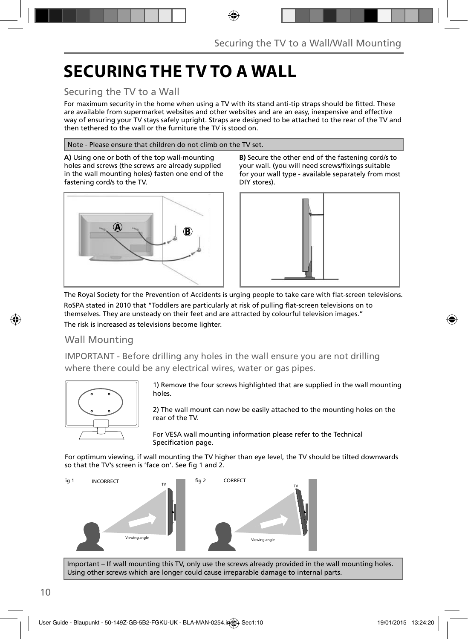## **SECURING THE TV TO A WALL**

### Securing the TV to a Wall

For maximum security in the home when using a TV with its stand anti-tip straps should be fitted. These are available from supermarket websites and other websites and are an easy, inexpensive and effective way of ensuring your TV stays safely upright. Straps are designed to be attached to the rear of the TV and then tethered to the wall or the furniture the TV is stood on.

#### Note - Please ensure that children do not climb on the TV set.

**A)** Using one or both of the top wall-mounting holes and screws (the screws are already supplied in the wall mounting holes) fasten one end of the fastening cord/s to the TV.



**B)** Secure the other end of the fastening cord/s to your wall. (you will need screws/fixings suitable for your wall type - available separately from most DIY stores).



The Royal Society for the Prevention of Accidents is urging people to take care with flat-screen televisions. RoSPA stated in 2010 that "Toddlers are particularly at risk of pulling flat-screen televisions on to themselves. They are unsteady on their feet and are attracted by colourful television images." The risk is increased as televisions become lighter.

### Wall Mounting

IMPORTANT - Before drilling any holes in the wall ensure you are not drilling where there could be any electrical wires, water or gas pipes.



1) Remove the four screws highlighted that are supplied in the wall mounting holes.

2) The wall mount can now be easily attached to the mounting holes on the rear of the TV.

For VESA wall mounting information please refer to the Technical Specification page.

For optimum viewing, if wall mounting the TV higher than eye level, the TV should be tilted downwards so that the TV's screen is 'face on'. See fig 1 and 2.



Important – If wall mounting this TV, only use the screws already provided in the wall mounting holes. Using other screws which are longer could cause irreparable damage to internal parts.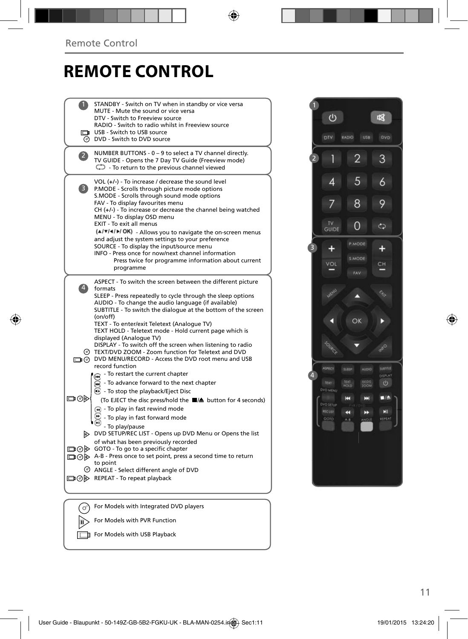### **REMOTE CONTROL**

| STANDBY - Switch on TV when in standby or vice versa<br>MUTE - Mute the sound or vice versa<br>DTV - Switch to Freeview source<br>RADIO - Switch to radio whilst in Freeview source                                                                                                                                                                                                                                                                                                                                                                                                                                                                                                                                                                                                                                                                                                                                                                                                                                                                                                                                                                                                                                                                                      |  |
|--------------------------------------------------------------------------------------------------------------------------------------------------------------------------------------------------------------------------------------------------------------------------------------------------------------------------------------------------------------------------------------------------------------------------------------------------------------------------------------------------------------------------------------------------------------------------------------------------------------------------------------------------------------------------------------------------------------------------------------------------------------------------------------------------------------------------------------------------------------------------------------------------------------------------------------------------------------------------------------------------------------------------------------------------------------------------------------------------------------------------------------------------------------------------------------------------------------------------------------------------------------------------|--|
| USB - Switch to USB source<br><b>O</b> DVD - Switch to DVD source                                                                                                                                                                                                                                                                                                                                                                                                                                                                                                                                                                                                                                                                                                                                                                                                                                                                                                                                                                                                                                                                                                                                                                                                        |  |
| NUMBER BUTTONS - 0 - 9 to select a TV channel directly.<br>$\mathbf{Z}$<br>TV GUIDE - Opens the 7 Day TV Guide (Freeview mode)<br>$\mathbb{C}$ - To return to the previous channel viewed                                                                                                                                                                                                                                                                                                                                                                                                                                                                                                                                                                                                                                                                                                                                                                                                                                                                                                                                                                                                                                                                                |  |
| VOL $(+/-)$ - To increase / decrease the sound level<br>$\mathbf{3}$<br>P.MODE - Scrolls through picture mode options<br>S.MODE - Scrolls through sound mode options<br>FAV - To display favourites menu<br>$CH (+/-)$ - To increase or decrease the channel being watched<br>MENU - To display OSD menu<br>EXIT - To exit all menus<br>(A/V/4/M/OK) - Allows you to navigate the on-screen menus<br>and adjust the system settings to your preference<br>SOURCE - To display the input/source menu<br>INFO - Press once for now/next channel information<br>Press twice for programme information about current<br>programme                                                                                                                                                                                                                                                                                                                                                                                                                                                                                                                                                                                                                                            |  |
| ASPECT - To switch the screen between the different picture<br>$\vert 4 \rangle$<br>formats<br>SLEEP - Press repeatedly to cycle through the sleep options<br>AUDIO - To change the audio language (if available)<br>SUBTITLE - To switch the dialogue at the bottom of the screen<br>(on/off)<br>TEXT - To enter/exit Teletext (Analoque TV)<br>TEXT HOLD - Teletext mode - Hold current page which is<br>displayed (Analogue TV)<br>DISPLAY - To switch off the screen when listening to radio<br>© TEXT/DVD ZOOM - Zoom function for Teletext and DVD<br>DIG DVD MENU/RECORD - Access the DVD root menu and USB<br>record function<br>- To restart the current chapter<br>⋒<br>To advance forward to the next chapter<br><b>B</b> - To stop the playback/Eject Disc<br>య⊙⊡<br>(To EJECT the disc press/hold the ■▲ button for 4 seconds)<br>$\left( \widehat{A} \right)$ - To play in fast rewind mode<br>- To play in fast forward mode<br>- To play/pause<br>DVD SETUP/REC LIST - Opens up DVD Menu or Opens the list<br>of what has been previously recorded<br>□ ⊙ ⊙ GOTO - To go to a specific chapter<br>A-B - Press once to set point, press a second time to return<br>to point<br>ANGLE - Select different angle of DVD<br>□ ⊙ D REPEAT - To repeat playback |  |
|                                                                                                                                                                                                                                                                                                                                                                                                                                                                                                                                                                                                                                                                                                                                                                                                                                                                                                                                                                                                                                                                                                                                                                                                                                                                          |  |
| For Models with Integrated DVD players                                                                                                                                                                                                                                                                                                                                                                                                                                                                                                                                                                                                                                                                                                                                                                                                                                                                                                                                                                                                                                                                                                                                                                                                                                   |  |
| For Models with PVR Function                                                                                                                                                                                                                                                                                                                                                                                                                                                                                                                                                                                                                                                                                                                                                                                                                                                                                                                                                                                                                                                                                                                                                                                                                                             |  |

For Models with USB Playback

 $\cup$ 咽 RADIO USB  $\overline{2}$ 3  $\overline{2}$ 1 5  $\overline{4}$  $\ddot{\delta}$  $\overline{8}$ 9  $\overline{7}$ TV<br>GUIDE  $\overline{0}$  $\mathfrak{S}$  $\mathbf{R}$  $\ddot{}$  $\ddot{}$ CH MEN  $\hat{\mathcal{G}}_{\rho}$  $\blacktriangle$ OK п D  $Q_{\lambda}$ tires 4  $\circ$ TECIDIO **HK**  $\blacksquare$ m OVD SETU  $M$ Ħ P)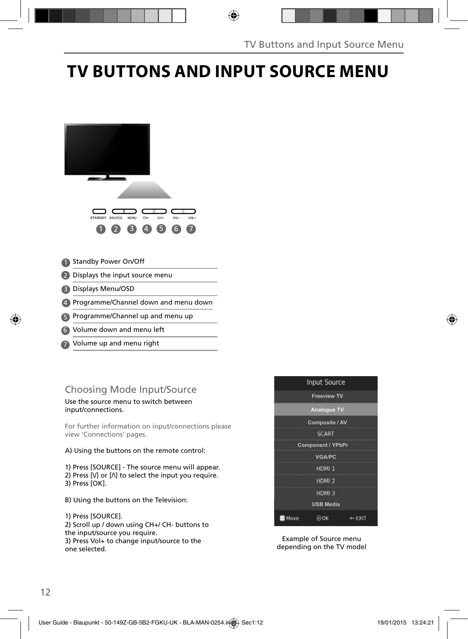## **TV BUTTONS AND INPUT SOURCE MENU**



- **5** Programme/Channel up and menu up
- Volume down and menu left 6
- Volume up and menu right 7

### Choosing Mode Input/Source

Use the source menu to switch between input/connections.

For further information on input/connections please view 'Connections' pages.

#### A) Using the buttons on the remote control:

1) Press [SOURCE] - The source menu will appear. 2) Press  $[V]$  or  $[\Lambda]$  to select the input you require. 3) Press [OK].

- B) Using the buttons on the Television:
- 1) Press [SOURCE].

2) Scroll up / down using CH+/ CH- buttons to the input/source you require. 3) Press Vol+ to change input/source to the one selected.



Example of Source menu depending on the TV model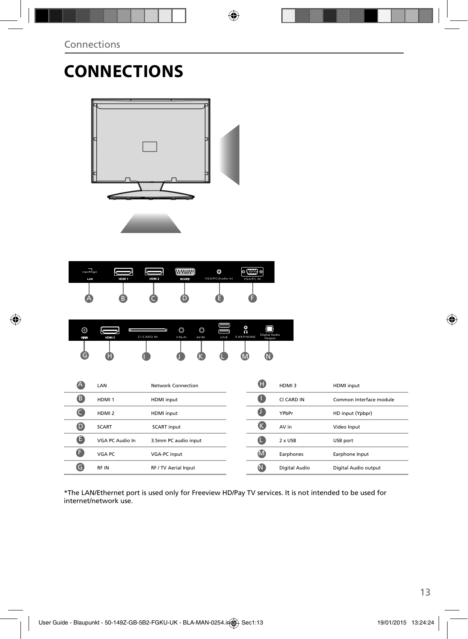# **CONNECTIONS**



| LAN | HDM 1 | HDM <sub>2</sub> | <b>WWWW</b><br><b>SCART</b> | O<br>VGA/PC(Audio in) | o.<br>Ø<br>loose.<br>VGA/PC IN |
|-----|-------|------------------|-----------------------------|-----------------------|--------------------------------|
| A   | B     |                  |                             |                       |                                |

| ⊚<br>RF IN | HDM 3 | ī<br><b>CICARDIN</b> | O<br>Y Pb Pr | O<br>AV IN | <b>USB</b> | ۵<br><b>EARPHONE</b> | <b>Digital Audio</b><br>Output |  |
|------------|-------|----------------------|--------------|------------|------------|----------------------|--------------------------------|--|
| G          | н     |                      |              |            |            |                      |                                |  |

| Œ  | HDMI3          | <b>HDMI</b> input       |
|----|----------------|-------------------------|
| a  | CI CARD IN     | Common Interface module |
| a  | YPbPr          | HD input (Ypbpr)        |
| (K | AV in          | Video Input             |
| Œ  | $2 \times$ USB | USB port                |
| M  | Earphones      | Earphone Input          |
| N  | Digital Audio  | Digital Audio output    |
|    |                |                         |

\*The LAN/Ethernet port is used only for Freeview HD/Pay TV services. It is not intended to be used for internet/network use.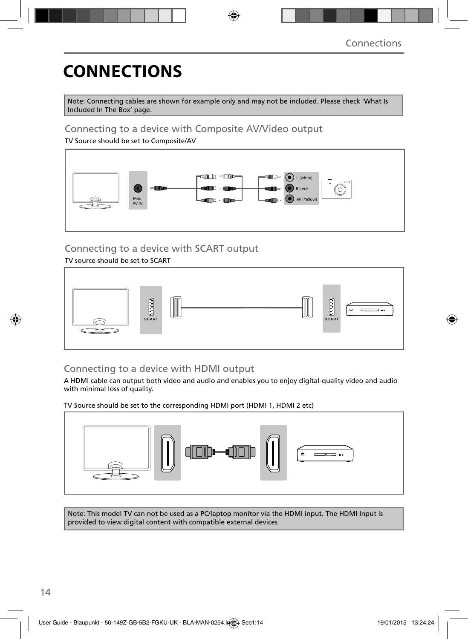# **CONNECTIONS**

Note: Connecting cables are shown for example only and may not be included. Please check 'What Is Included In The Box' page.

### Connecting to a device with Composite AV/Video output

TV Source should be set to Composite/AV



### Connecting to a device with SCART output

TV source should be set to SCART



### Connecting to a device with HDMI output

A HDMI cable can output both video and audio and enables you to enjoy digital-quality video and audio with minimal loss of quality.

TV Source should be set to the corresponding HDMI port (HDMI 1, HDMI 2 etc)



Note: This model TV can not be used as a PC/laptop monitor via the HDMI input. The HDMI Input is provided to view digital content with compatible external devices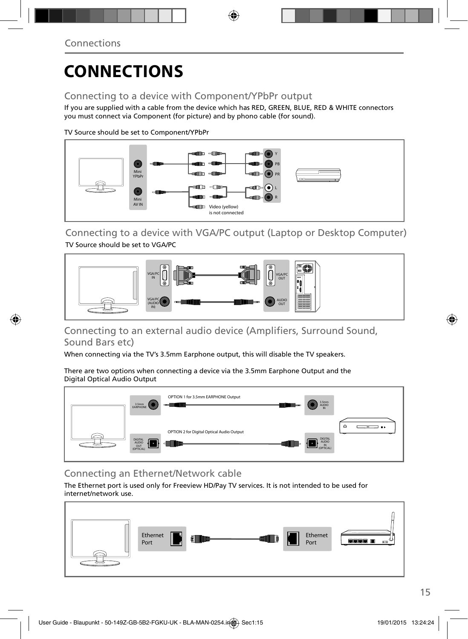## **CONNECTIONS**

### Connecting to a device with Component/YPbPr output

If you are supplied with a cable from the device which has RED, GREEN, BLUE, RED & WHITE connectors you must connect via Component (for picture) and by phono cable (for sound).

TV Source should be set to Component/YPbPr



Connecting to a device with VGA/PC output (Laptop or Desktop Computer) TV Source should be set to VGA/PC



Connecting to an external audio device (Amplifiers, Surround Sound, Sound Bars etc)

When connecting via the TV's 3.5mm Earphone output, this will disable the TV speakers.

There are two options when connecting a device via the 3.5mm Earphone Output and the Digital Optical Audio Output



### Connecting an Ethernet/Network cable

The Ethernet port is used only for Freeview HD/Pay TV services. It is not intended to be used for internet/network use.

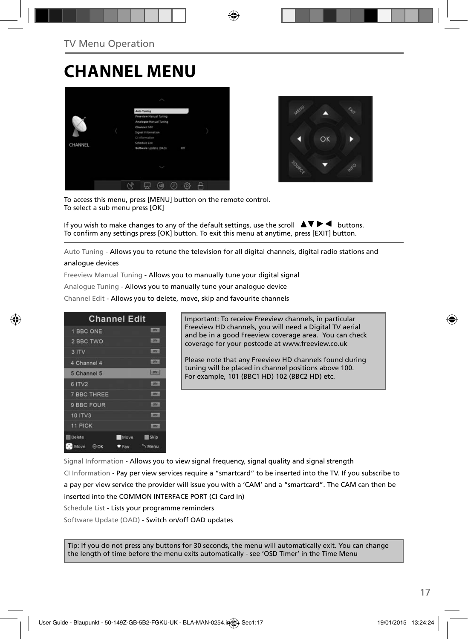## **CHANNEL MENU**





To access this menu, press [MENU] button on the remote control. To select a sub menu press [OK]

If you wish to make changes to any of the default settings, use the scroll  $\blacktriangle \blacktriangledown \blacktriangleright \blacktriangleleft$  buttons. To confirm any settings press [OK] button. To exit this menu at anytime, press [EXIT] button.

Auto Tuning - Allows you to retune the television for all digital channels, digital radio stations and

#### analogue devices

Freeview Manual Tuning - Allows you to manually tune your digital signal

Analogue Tuning - Allows you to manually tune your analogue device

Channel Edit - Allows you to delete, move, skip and favourite channels

| <b>Channel Edit</b>           |       |                |
|-------------------------------|-------|----------------|
| 1 BBC ONE                     |       | DTV:           |
| 2 BBC TWO                     |       | <b>DTA</b>     |
| 3 ITV                         |       | <b>LOTV.</b>   |
| 4 Channel 4                   |       | <b>LOTAL</b>   |
| 5 Channel 5                   |       | <b>Express</b> |
| 6 ITV2                        |       | $107x -$       |
| <b>7 BBC THREE</b>            |       | <b>OTV.</b>    |
| 9 BBC FOUR                    |       | <b>ISTV.</b>   |
| 10 ITV3                       |       | <b>HOTH!</b>   |
| 11 PICK                       |       | <b>DTV-</b>    |
| <b>Delete</b>                 | Move  | Skip           |
| <b>D.D</b> Move<br>$\odot$ OK | ♥ Fav | Menu           |

Important: To receive Freeview channels, in particular Freeview HD channels, you will need a Digital TV aerial and be in a good Freeview coverage area. You can check coverage for your postcode at www.freeview.co.uk

Please note that any Freeview HD channels found during tuning will be placed in channel positions above 100. For example, 101 (BBC1 HD) 102 (BBC2 HD) etc.

Signal Information - Allows you to view signal frequency, signal quality and signal strength CI Information - Pay per view services require a "smartcard" to be inserted into the TV. If you subscribe to a pay per view service the provider will issue you with a 'CAM' and a "smartcard". The CAM can then be inserted into the COMMON INTERFACE PORT (CI Card In) Schedule List - Lists your programme reminders

Software Update (OAD) - Switch on/off OAD updates

Tip: If you do not press any buttons for 30 seconds, the menu will automatically exit. You can change the length of time before the menu exits automatically - see 'OSD Timer' in the Time Menu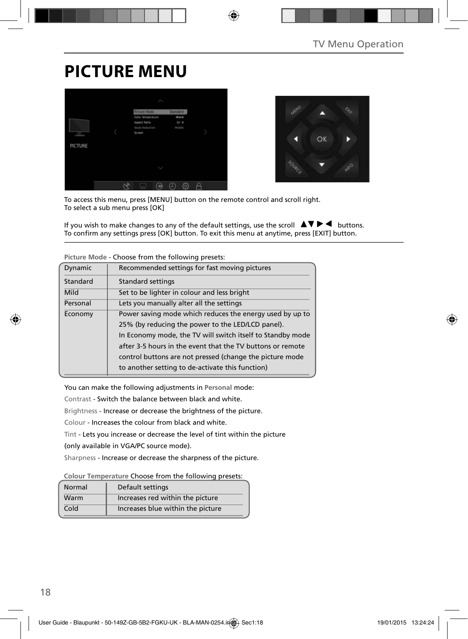## **PICTURE MENU**





To access this menu, press [MENU] button on the remote control and scroll right. To select a sub menu press [OK]

If you wish to make changes to any of the default settings, use the scroll  $\Delta \nabla \blacktriangleright$   $\blacktriangleleft$  buttons. To confirm any settings press [OK] button. To exit this menu at anytime, press [EXIT] button.

| Dynamic  | Recommended settings for fast moving pictures              |
|----------|------------------------------------------------------------|
| Standard | <b>Standard settings</b>                                   |
| Mild     | Set to be lighter in colour and less bright                |
| Personal | Lets you manually alter all the settings                   |
| Economy  | Power saving mode which reduces the energy used by up to   |
|          | 25% (by reducing the power to the LED/LCD panel).          |
|          | In Economy mode, the TV will switch itself to Standby mode |
|          | after 3-5 hours in the event that the TV buttons or remote |
|          | control buttons are not pressed (change the picture mode   |
|          | to another setting to de-activate this function)           |
|          |                                                            |

**Picture Mode** - Choose from the following presets:

You can make the following adjustments in **Personal** mode:

Contrast - Switch the balance between black and white.

Brightness - Increase or decrease the brightness of the picture.

Colour - Increases the colour from black and white.

Tint - Lets you increase or decrease the level of tint within the picture

(only available in VGA/PC source mode).

Sharpness - Increase or decrease the sharpness of the picture.

**Colour Temperature** Choose from the following presets:

| Normal | Default settings                  |
|--------|-----------------------------------|
| Warm   | Increases red within the picture  |
| Cold   | Increases blue within the picture |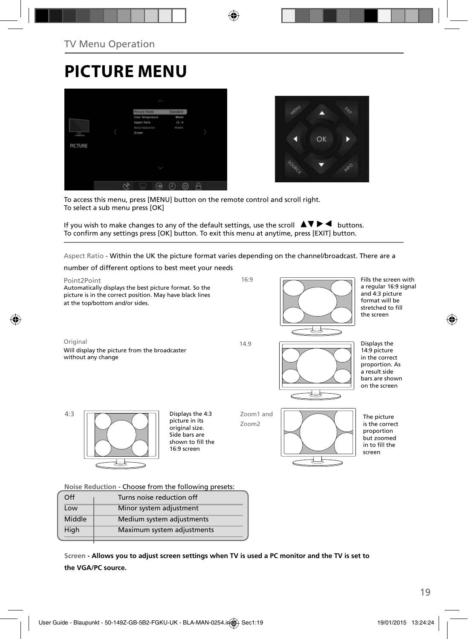## **PICTURE MENU**





To access this menu, press [MENU] button on the remote control and scroll right. To select a sub menu press [OK]

If you wish to make changes to any of the default settings, use the scroll  $\Delta \nabla \blacktriangleright$   $\blacktriangleleft$  buttons. To confirm any settings press [OK] button. To exit this menu at anytime, press [EXIT] button.

Aspect Ratio - Within the UK the picture format varies depending on the channel/broadcast. There are a

number of different options to best meet your needs

High Maximum system adjustments



**Screen - Allows you to adjust screen settings when TV is used a PC monitor and the TV is set to the VGA/PC source.**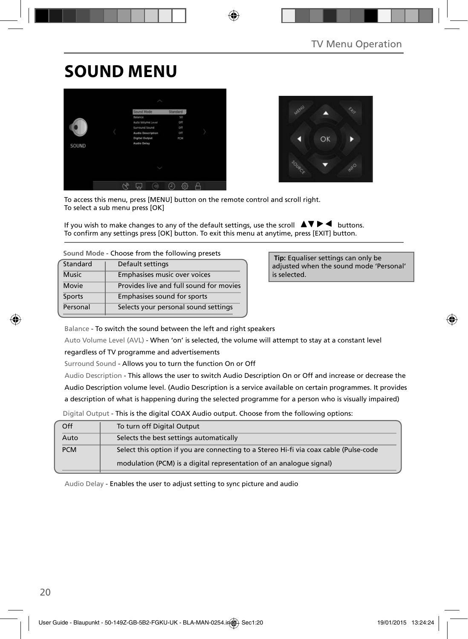## **SOUND MENU**





To access this menu, press [MENU] button on the remote control and scroll right. To select a sub menu press [OK]

If you wish to make changes to any of the default settings, use the scroll  $\blacktriangle \blacktriangledown \blacktriangleright \blacktriangleleft$  buttons. To confirm any settings press [OK] button. To exit this menu at anytime, press [EXIT] button.

**Sound Mode** - Choose from the following presets

| Standard     | Default settings                        |
|--------------|-----------------------------------------|
| <b>Music</b> | Emphasises music over voices            |
| Movie        | Provides live and full sound for movies |
| Sports       | Emphasises sound for sports             |
| Personal     | Selects your personal sound settings    |

 **Tip:** Equaliser settings can only be adjusted when the sound mode 'Personal' is selected.

Balance - To switch the sound between the left and right speakers

Auto Volume Level (AVL) - When 'on' is selected, the volume will attempt to stay at a constant level

regardless of TV programme and advertisements

Surround Sound - Allows you to turn the function On or Off

Audio Description - This allows the user to switch Audio Description On or Off and increase or decrease the Audio Description volume level. (Audio Description is a service available on certain programmes. It provides a description of what is happening during the selected programme for a person who is visually impaired)

Digital Output - This is the digital COAX Audio output. Choose from the following options:

| Off        | To turn off Digital Output                                                            |
|------------|---------------------------------------------------------------------------------------|
| Auto       | Selects the best settings automatically                                               |
| <b>PCM</b> | Select this option if you are connecting to a Stereo Hi-fi via coax cable (Pulse-code |
|            | modulation (PCM) is a digital representation of an analogue signal)                   |

Audio Delay - Enables the user to adjust setting to sync picture and audio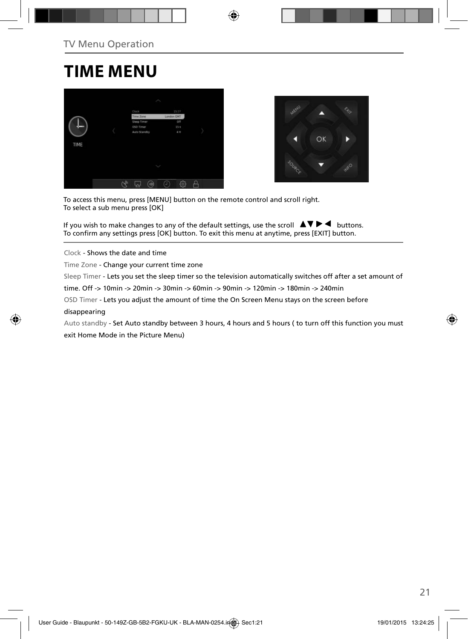### **TIME MENU**





To access this menu, press [MENU] button on the remote control and scroll right. To select a sub menu press [OK]

If you wish to make changes to any of the default settings, use the scroll  $\Delta \nabla \blacktriangleright$   $\blacktriangleleft$  buttons. To confirm any settings press [OK] button. To exit this menu at anytime, press [EXIT] button.

Clock - Shows the date and time

Time Zone - Change your current time zone

Sleep Timer - Lets you set the sleep timer so the television automatically switches off after a set amount of

time. Off -> 10min -> 20min -> 30min -> 60min -> 90min -> 120min -> 180min -> 240min

OSD Timer - Lets you adjust the amount of time the On Screen Menu stays on the screen before

#### disappearing

Auto standby - Set Auto standby between 3 hours, 4 hours and 5 hours ( to turn off this function you must exit Home Mode in the Picture Menu)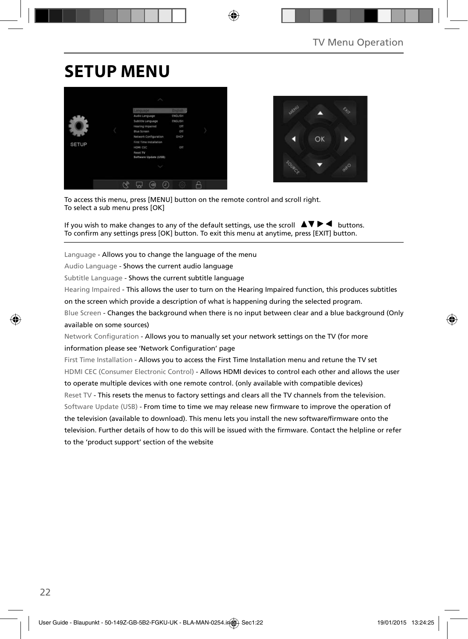## **SETUP MENU**





To access this menu, press [MENU] button on the remote control and scroll right. To select a sub menu press [OK]

If you wish to make changes to any of the default settings, use the scroll  $\blacktriangle \blacktriangledown \blacktriangleright \blacktriangleleft$  buttons. To confirm any settings press [OK] button. To exit this menu at anytime, press [EXIT] button.

Language - Allows you to change the language of the menu

Audio Language - Shows the current audio language

Subtitle Language - Shows the current subtitle language

Hearing Impaired - This allows the user to turn on the Hearing Impaired function, this produces subtitles

on the screen which provide a description of what is happening during the selected program.

Blue Screen - Changes the background when there is no input between clear and a blue background (Only available on some sources)

Network Configuration - Allows you to manually set your network settings on the TV (for more information please see 'Network Configuration' page

First Time Installation - Allows you to access the First Time Installation menu and retune the TV set HDMI CEC (Consumer Electronic Control) - Allows HDMI devices to control each other and allows the user to operate multiple devices with one remote control. (only available with compatible devices) Reset TV - This resets the menus to factory settings and clears all the TV channels from the television. Software Update (USB) - From time to time we may release new firmware to improve the operation of the television (available to download). This menu lets you install the new software/firmware onto the television. Further details of how to do this will be issued with the firmware. Contact the helpline or refer to the 'product support' section of the website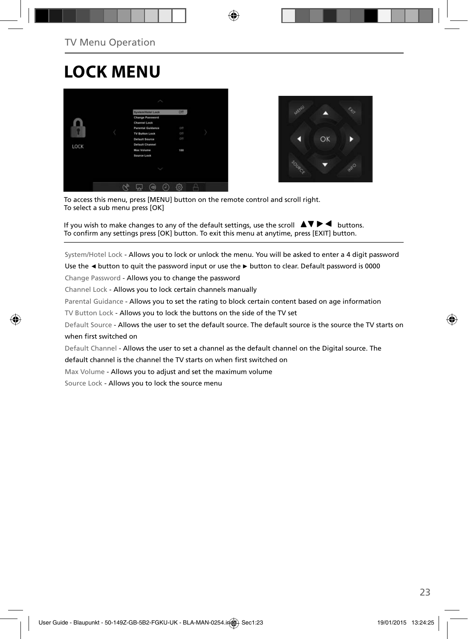## **LOCK MENU**





To access this menu, press [MENU] button on the remote control and scroll right. To select a sub menu press [OK]

If you wish to make changes to any of the default settings, use the scroll  $\Box \blacktriangledown \blacktriangleright \blacktriangleleft$  buttons. To confirm any settings press [OK] button. To exit this menu at anytime, press [EXIT] button.

System/Hotel Lock - Allows you to lock or unlock the menu. You will be asked to enter a 4 digit password

Use the **◄** button to quit the password input or use the **►** button to clear. Default password is 0000

Change Password - Allows you to change the password

Channel Lock - Allows you to lock certain channels manually

Parental Guidance - Allows you to set the rating to block certain content based on age information

TV Button Lock - Allows you to lock the buttons on the side of the TV set

Default Source - Allows the user to set the default source. The default source is the source the TV starts on when first switched on

Default Channel - Allows the user to set a channel as the default channel on the Digital source. The

default channel is the channel the TV starts on when first switched on

Max Volume - Allows you to adjust and set the maximum volume

Source Lock - Allows you to lock the source menu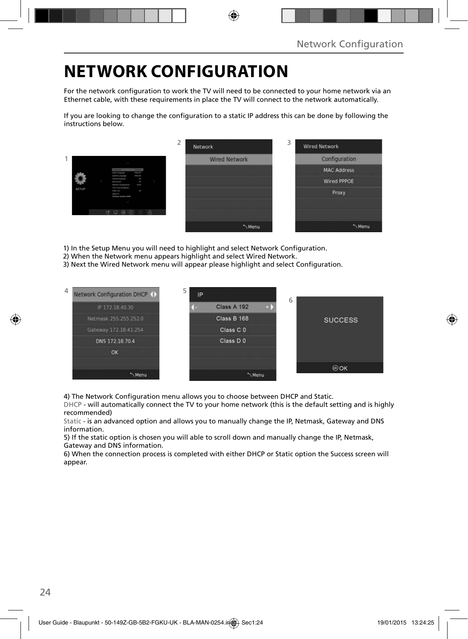## **NETWORK CONFIGURATION**

For the network configuration to work the TV will need to be connected to your home network via an Ethernet cable, with these requirements in place the TV will connect to the network automatically.

If you are looking to change the configuration to a static IP address this can be done by following the instructions below.

|       |                                                                                                    |                                       |  | ∠ | Network              | 3 | <b>Wired Network</b> |
|-------|----------------------------------------------------------------------------------------------------|---------------------------------------|--|---|----------------------|---|----------------------|
|       |                                                                                                    |                                       |  |   | <b>Wired Network</b> |   | Configuration        |
|       | <b>Body Company</b>                                                                                | <b>TRESTAN</b><br><b>Holland</b>      |  |   |                      |   | <b>MAC Address</b>   |
|       | <b>Substitution Language</b><br>Harris Hyanni<br><b>War Green</b><br><b>fatigated Electronical</b> | $\overline{a}$<br><b>COL</b><br>page. |  |   |                      |   | <b>Wired PPPOE</b>   |
| SETUP | for the teamers<br>since car<br><b>Report For</b><br>Solidary canton (1998)                        | ×                                     |  |   |                      |   | Proxy                |
|       |                                                                                                    |                                       |  |   |                      |   |                      |
|       | $C_1 = C_2$                                                                                        |                                       |  |   |                      |   |                      |
|       |                                                                                                    |                                       |  |   | Menu                 |   | "Menu                |

1) In the Setup Menu you will need to highlight and select Network Configuration.

- 2) When the Network menu appears highlight and select Wired Network.
- 3) Next the Wired Network menu will appear please highlight and select Configuration.



4) The Network Configuration menu allows you to choose between DHCP and Static.

DHCP - will automatically connect the TV to your home network (this is the default setting and is highly recommended)

Static - is an advanced option and allows you to manually change the IP, Netmask, Gateway and DNS information.

5) If the static option is chosen you will able to scroll down and manually change the IP, Netmask, Gateway and DNS information.

6) When the connection process is completed with either DHCP or Static option the Success screen will appear.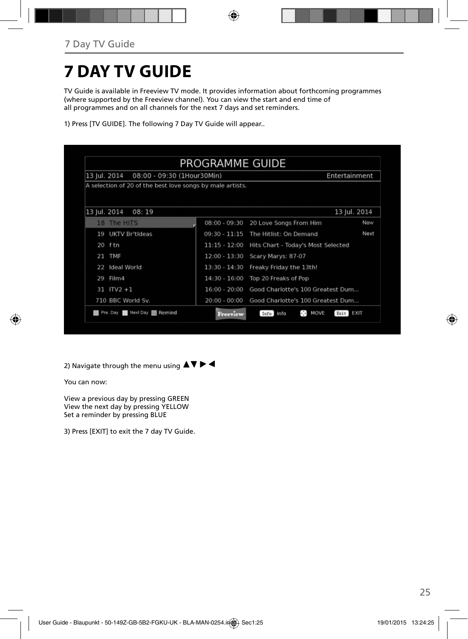## **7 DAY TV GUIDE**

TV Guide is available in Freeview TV mode. It provides information about forthcoming programmes (where supported by the Freeview channel). You can view the start and end time of all programmes and on all channels for the next 7 days and set reminders.

1) Press [TV GUIDE]. The following 7 Day TV Guide will appear..

| 13 Jul. 2014<br>08:00 - 09:30 (1Hour30Min)                |                 |                                    | Entertainment |
|-----------------------------------------------------------|-----------------|------------------------------------|---------------|
| A selection of 20 of the best love songs by male artists. |                 |                                    |               |
|                                                           |                 |                                    |               |
| 13 Jul. 2014<br>08:19                                     |                 |                                    | 13 Jul. 2014  |
| The HITS<br>18                                            | $08:00 - 09:30$ | 20 Love Songs From Him             | Now           |
| <b>UKTV Br'tideas</b><br>19                               | $09:30 - 11:15$ | The Hitlist: On Demand             | Next          |
| 20<br>ftn                                                 | $11:15 - 12:00$ | Hits Chart - Today's Most Selected |               |
| 21 TMF                                                    | $12:00 - 13:30$ | Scary Marys: 87-07                 |               |
| Ideal World<br>22                                         | $13:30 - 14:30$ | Freaky Friday the 13th!            |               |
| Film4<br>29                                               | $14:30 - 16:00$ | Top 20 Freaks of Pop               |               |
| $31$ ITV2 +1                                              | $16:00 - 20:00$ | Good Charlotte's 100 Greatest Dum  |               |
| 710 BBC World Sv.                                         | $20:00 - 00:00$ | Good Charlotte's 100 Greatest Dum  |               |

2) Navigate through the menu using  $\blacktriangle \blacktriangledown \blacktriangleright \blacktriangleleft$ 

You can now:

View a previous day by pressing GREEN View the next day by pressing YELLOW Set a reminder by pressing BLUE

3) Press [EXIT] to exit the 7 day TV Guide.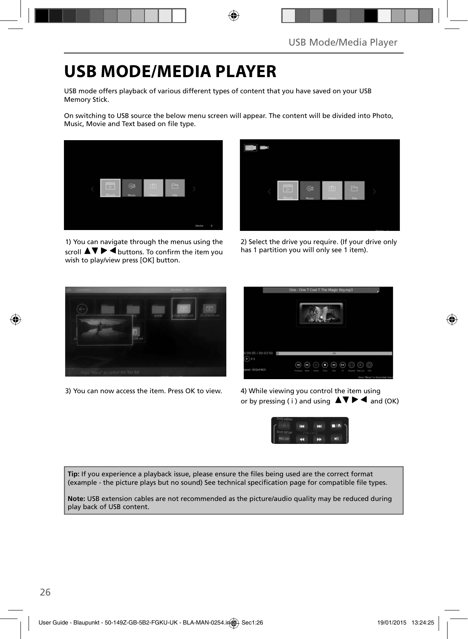## **USB MODE/MEDIA PLAYER**

USB mode offers playback of various different types of content that you have saved on your USB Memory Stick.

On switching to USB source the below menu screen will appear. The content will be divided into Photo, Music, Movie and Text based on file type.



1) You can navigate through the menus using the scroll  $\Delta \nabla \triangleright \blacktriangleleft$  buttons. To confirm the item you wish to play/view press [OK] button.



2) Select the drive you require. (If your drive only has 1 partition you will only see 1 item).



3) You can now access the item. Press OK to view. 4) While viewing you control the item using



or by pressing ( i ) and using  $\Delta \nabla \blacktriangleright \blacktriangleleft$  and (OK)



Tip: If you experience a playback issue, please ensure the files being used are the correct format (example - the picture plays but no sound) See technical specification page for compatible file types.

**Note:** USB extension cables are not recommended as the picture/audio quality may be reduced during play back of USB content.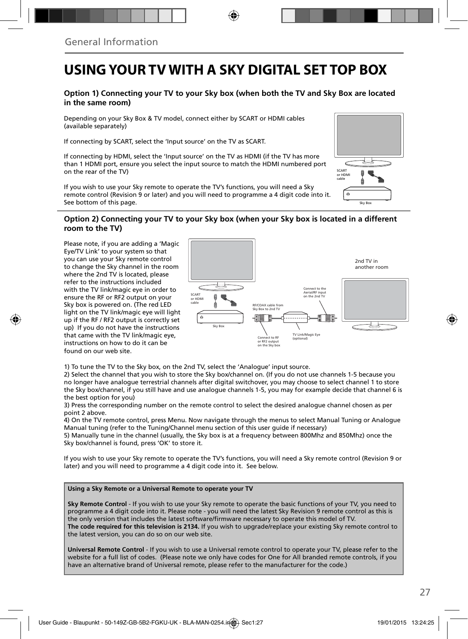### **USING YOUR TV WITH A SKY DIGITAL SET TOP BOX**

#### **Option 1) Connecting your TV to your Sky box (when both the TV and Sky Box are located in the same room)**

Depending on your Sky Box & TV model, connect either by SCART or HDMI cables (available separately)

If connecting by SCART, select the 'Input source' on the TV as SCART.

If connecting by HDMI, select the 'Input source' on the TV as HDMI (if the TV has more than 1 HDMI port, ensure you select the input source to match the HDMI numbered port on the rear of the TV)

If you wish to use your Sky remote to operate the TV's functions, you will need a Sky remote control (Revision 9 or later) and you will need to programme a 4 digit code into it. See bottom of this page.

#### **Option 2) Connecting your TV to your Sky box (when your Sky box is located in a different room to the TV)**

Please note, if you are adding a 'Magic Eye/TV Link' to your system so that you can use your Sky remote control to change the Sky channel in the room where the 2nd TV is located, please refer to the instructions included with the TV link/magic eye in order to ensure the RF or RF2 output on your Sky box is powered on. (The red LED light on the TV link/magic eye will light up if the RF / RF2 output is correctly set up) If you do not have the instructions that came with the TV link/magic eye, instructions on how to do it can be found on our web site.



1) To tune the TV to the Sky box, on the 2nd TV, select the 'Analogue' input source.

2) Select the channel that you wish to store the Sky box/channel on. (If you do not use channels 1-5 because you no longer have analogue terrestrial channels after digital switchover, you may choose to select channel 1 to store the Sky box/channel, if you still have and use analogue channels 1-5, you may for example decide that channel 6 is the best option for you)

3) Press the corresponding number on the remote control to select the desired analogue channel chosen as per point 2 above.

4) On the TV remote control, press Menu. Now navigate through the menus to select Manual Tuning or Analogue Manual tuning (refer to the Tuning/Channel menu section of this user guide if necessary)

5) Manually tune in the channel (usually, the Sky box is at a frequency between 800Mhz and 850Mhz) once the Sky box/channel is found, press 'OK' to store it.

If you wish to use your Sky remote to operate the TV's functions, you will need a Sky remote control (Revision 9 or later) and you will need to programme a 4 digit code into it. See below.

#### **Using a Sky Remote or a Universal Remote to operate your TV**

**Sky Remote Control** - If you wish to use your Sky remote to operate the basic functions of your TV, you need to programme a 4 digit code into it. Please note - you will need the latest Sky Revision 9 remote control as this is the only version that includes the latest software/firmware necessary to operate this model of TV. **The code required for this television is 2134.** If you wish to upgrade/replace your existing Sky remote control to the latest version, you can do so on our web site.

**Universal Remote Control** - If you wish to use a Universal remote control to operate your TV, please refer to the website for a full list of codes. (Please note we only have codes for One for All branded remote controls, if you have an alternative brand of Universal remote, please refer to the manufacturer for the code.)

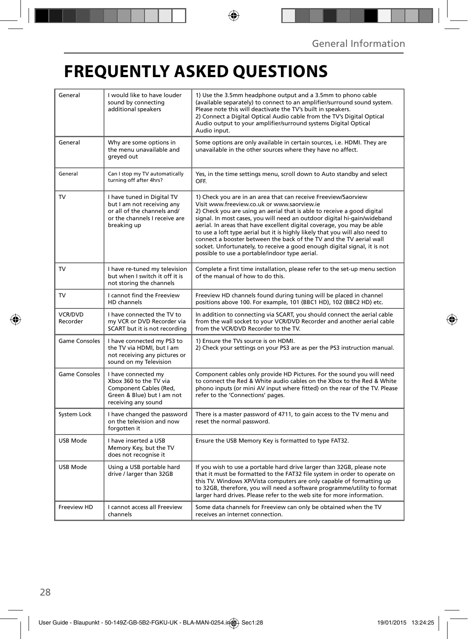## **FREQUENTLY ASKED QUESTIONS**

| General                    | I would like to have louder<br>sound by connecting<br>additional speakers                                                               | 1) Use the 3.5mm headphone output and a 3.5mm to phono cable<br>(available separately) to connect to an amplifier/surround sound system.<br>Please note this will deactivate the TV's built in speakers.<br>2) Connect a Digital Optical Audio cable from the TV's Digital Optical<br>Audio output to your amplifier/surround systems Digital Optical<br>Audio input.                                                                                                                                                                                                                                                                |  |
|----------------------------|-----------------------------------------------------------------------------------------------------------------------------------------|--------------------------------------------------------------------------------------------------------------------------------------------------------------------------------------------------------------------------------------------------------------------------------------------------------------------------------------------------------------------------------------------------------------------------------------------------------------------------------------------------------------------------------------------------------------------------------------------------------------------------------------|--|
| General                    | Why are some options in<br>the menu unavailable and<br>greyed out                                                                       | Some options are only available in certain sources, i.e. HDMI. They are<br>unavailable in the other sources where they have no affect.                                                                                                                                                                                                                                                                                                                                                                                                                                                                                               |  |
| General                    | Can I stop my TV automatically<br>turning off after 4hrs?                                                                               | Yes, in the time settings menu, scroll down to Auto standby and select<br>OFF.                                                                                                                                                                                                                                                                                                                                                                                                                                                                                                                                                       |  |
| <b>TV</b>                  | I have tuned in Digital TV<br>but I am not receiving any<br>or all of the channels and/<br>or the channels I receive are<br>breaking up | 1) Check you are in an area that can receive Freeview/Saorview<br>Visit www.freeview.co.uk or www.saorview.je<br>2) Check you are using an aerial that is able to receive a good digital<br>signal. In most cases, you will need an outdoor digital hi-gain/wideband<br>aerial. In areas that have excellent digital coverage, you may be able<br>to use a loft type aerial but it is highly likely that you will also need to<br>connect a booster between the back of the TV and the TV aerial wall<br>socket. Unfortunately, to receive a good enough digital signal, it is not<br>possible to use a portable/indoor type aerial. |  |
| TV                         | I have re-tuned my television<br>but when I switch it off it is<br>not storing the channels                                             | Complete a first time installation, please refer to the set-up menu section<br>of the manual of how to do this.                                                                                                                                                                                                                                                                                                                                                                                                                                                                                                                      |  |
| TV                         | I cannot find the Freeview<br>HD channels                                                                                               | Freeview HD channels found during tuning will be placed in channel<br>positions above 100. For example, 101 (BBC1 HD), 102 (BBC2 HD) etc.                                                                                                                                                                                                                                                                                                                                                                                                                                                                                            |  |
| <b>VCR/DVD</b><br>Recorder | I have connected the TV to<br>my VCR or DVD Recorder via<br>SCART but it is not recording                                               | In addition to connecting via SCART, you should connect the aerial cable<br>from the wall socket to your VCR/DVD Recorder and another aerial cable<br>from the VCR/DVD Recorder to the TV.                                                                                                                                                                                                                                                                                                                                                                                                                                           |  |
| <b>Game Consoles</b>       | I have connected my PS3 to<br>the TV via HDMI, but I am<br>not receiving any pictures or<br>sound on my Television                      | 1) Ensure the TVs source is on HDMI.<br>2) Check your settings on your PS3 are as per the PS3 instruction manual.                                                                                                                                                                                                                                                                                                                                                                                                                                                                                                                    |  |
| <b>Game Consoles</b>       | I have connected my<br>Xbox 360 to the TV via<br>Component Cables (Red,<br>Green & Blue) but I am not<br>receiving any sound            | Component cables only provide HD Pictures. For the sound you will need<br>to connect the Red & White audio cables on the Xbox to the Red & White<br>phono inputs (or mini AV input where fitted) on the rear of the TV. Please<br>refer to the 'Connections' pages.                                                                                                                                                                                                                                                                                                                                                                  |  |
| System Lock                | I have changed the password<br>on the television and now<br>forgotten it                                                                | There is a master password of 4711, to gain access to the TV menu and<br>reset the normal password.                                                                                                                                                                                                                                                                                                                                                                                                                                                                                                                                  |  |
| USB Mode                   | I have inserted a USB<br>Memory Key, but the TV<br>does not recognise it                                                                | Ensure the USB Memory Key is formatted to type FAT32.                                                                                                                                                                                                                                                                                                                                                                                                                                                                                                                                                                                |  |
| USB Mode                   | Using a USB portable hard<br>drive / larger than 32GB                                                                                   | If you wish to use a portable hard drive larger than 32GB, please note<br>that it must be formatted to the FAT32 file system in order to operate on<br>this TV. Windows XP/Vista computers are only capable of formatting up<br>to 32GB, therefore, you will need a software programme/utility to format<br>larger hard drives. Please refer to the web site for more information.                                                                                                                                                                                                                                                   |  |
| Freeview HD                | I cannot access all Freeview<br>channels                                                                                                | Some data channels for Freeview can only be obtained when the TV<br>receives an internet connection.                                                                                                                                                                                                                                                                                                                                                                                                                                                                                                                                 |  |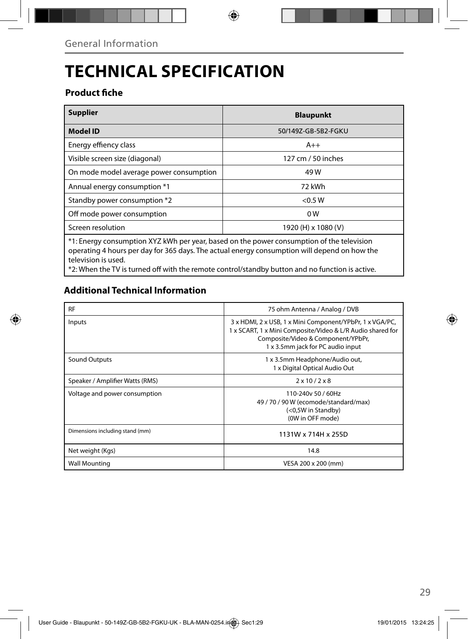## **TECHNICAL SPECIFICATION**

### **Product fiche**

| <b>Supplier</b>                                                                                                                                                                                                                                                                                                   | <b>Blaupunkt</b>    |  |  |  |
|-------------------------------------------------------------------------------------------------------------------------------------------------------------------------------------------------------------------------------------------------------------------------------------------------------------------|---------------------|--|--|--|
| <b>Model ID</b>                                                                                                                                                                                                                                                                                                   | 50/149Z-GB-5B2-FGKU |  |  |  |
| Energy effiency class                                                                                                                                                                                                                                                                                             | $A++$               |  |  |  |
| Visible screen size (diagonal)                                                                                                                                                                                                                                                                                    | 127 cm / 50 inches  |  |  |  |
| On mode model average power consumption                                                                                                                                                                                                                                                                           | 49 W                |  |  |  |
| Annual energy consumption *1                                                                                                                                                                                                                                                                                      | 72 kWh              |  |  |  |
| Standby power consumption *2                                                                                                                                                                                                                                                                                      | < 0.5 W             |  |  |  |
| Off mode power consumption                                                                                                                                                                                                                                                                                        | 0W                  |  |  |  |
| Screen resolution                                                                                                                                                                                                                                                                                                 | 1920 (H) x 1080 (V) |  |  |  |
| *1: Energy consumption XYZ kWh per year, based on the power consumption of the television<br>operating 4 hours per day for 365 days. The actual energy consumption will depend on how the<br>television is used.<br>to Whan the TV is turned off with the remote control/standby button and no function is active |                     |  |  |  |

\*2: When the TV is turned off with the remote control/standby button and no function is active.

### **Additional Technical Information**

| <b>RF</b>                       | 75 ohm Antenna / Analog / DVB                                                                                                                                                                     |  |  |
|---------------------------------|---------------------------------------------------------------------------------------------------------------------------------------------------------------------------------------------------|--|--|
| Inputs                          | 3 x HDMI, 2 x USB, 1 x Mini Component/YPbPr, 1 x VGA/PC,<br>1 x SCART, 1 x Mini Composite/Video & L/R Audio shared for<br>Composite/Video & Component/YPbPr,<br>1 x 3.5mm jack for PC audio input |  |  |
| Sound Outputs                   | 1 x 3.5mm Headphone/Audio out,<br>1 x Digital Optical Audio Out                                                                                                                                   |  |  |
| Speaker / Amplifier Watts (RMS) | $2 \times 10 / 2 \times 8$                                                                                                                                                                        |  |  |
| Voltage and power consumption   | 110-240y 50 / 60Hz<br>49 / 70 / 90 W (ecomode/standard/max)<br>(<0,5W in Standby)<br>(0W in OFF mode)                                                                                             |  |  |
| Dimensions including stand (mm) | 1131W x 714H x 255D                                                                                                                                                                               |  |  |
| Net weight (Kgs)                | 14.8                                                                                                                                                                                              |  |  |
| <b>Wall Mounting</b>            | VESA 200 x 200 (mm)                                                                                                                                                                               |  |  |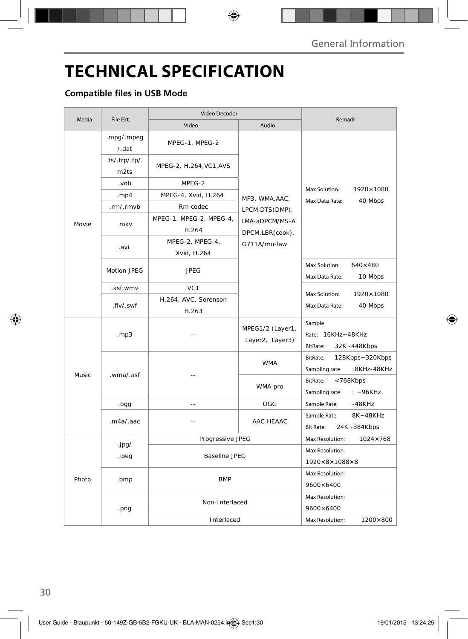## **TECHNICAL SPECIFICATION**

### **Compatible files in USB Mode**

| Media  | File Ext.                             | Video Decoder                    |                                                                                          |                                                              |
|--------|---------------------------------------|----------------------------------|------------------------------------------------------------------------------------------|--------------------------------------------------------------|
|        |                                       | Video                            | Audio                                                                                    | Remark                                                       |
| Movie  | .mpg/.mpeg<br>/ . dat                 | MPEG-1, MPEG-2                   | MP3, WMA, AAC,<br>LPCM, DTS(DMP),<br>IMA-aDPCM/MS-A<br>DPCM, LBR (cook),<br>G711A/mu-law | Max Solution:<br>1920×1080<br>Max Data Rate:<br>40 Mbps      |
|        | $-ts/.trp/.tp/.$<br>m <sub>2</sub> ts | MPEG-2, H.264, VC1, AVS          |                                                                                          |                                                              |
|        | .vob                                  | MPEG-2                           |                                                                                          |                                                              |
|        | .mp4                                  | MPEG-4, Xvid, H.264              |                                                                                          |                                                              |
|        | .rm/.rmvb                             | Rm codec                         |                                                                                          |                                                              |
|        | .mkv                                  | MPEG-1, MPEG-2, MPEG-4,<br>H.264 |                                                                                          |                                                              |
|        | .avi                                  | MPEG-2, MPEG-4,<br>Xvid, H.264   |                                                                                          |                                                              |
|        | Motion JPEG                           | <b>JPEG</b>                      |                                                                                          | Max Solution:<br>$640\times480$<br>Max Data Rate:<br>10 Mbps |
|        | .asf,wmv                              | VC <sub>1</sub>                  |                                                                                          | Max Solution:<br>1920×1080<br>Max Data Rate:<br>40 Mbps      |
|        | .flv/.swf                             | H.264, AVC, Sorenson<br>H.263    |                                                                                          |                                                              |
| Music. | .mp3                                  |                                  | MPEG1/2 (Layer1,<br>Layer2, Layer3)                                                      | Sample<br>Rate: 16KHz~48KHz<br>BitRate:<br>32K~448Kbps       |
|        | .wma/.asf                             |                                  | <b>WMA</b>                                                                               | BitRate:<br>128Kbps~320Kbps<br>:8KHz-48KHz<br>Sampling rate  |
|        |                                       |                                  | WMA pro                                                                                  | BitRate:<br>< 768Kbps<br>Sampling rate<br>$: -96KHz$         |
|        | .ogg                                  | $-$                              | OGG                                                                                      | Sample Rate:<br>$~-48$ KHz                                   |
|        | .m4a/.aac                             |                                  | AAC HEAAC                                                                                | 8K~48KHz<br>Sample Rate:<br><b>Bit Rate:</b><br>24K~384Kbps  |
| Photo  |                                       | Progressive JPEG                 |                                                                                          | Max Resolution:<br>$1024 \times 768$                         |
|        | .jpg/<br>.jpeg                        |                                  |                                                                                          | Max Resolution:                                              |
|        |                                       | <b>Baseline JPEG</b>             |                                                                                          | $1920\times8\times1088\times8$                               |
|        | .bmp                                  | <b>BMP</b>                       |                                                                                          | Max Resolution:<br>9600×6400                                 |
|        | .png                                  | Non-Interlaced                   |                                                                                          | Max Resolution:<br>9600×6400                                 |
|        |                                       | Interlaced                       |                                                                                          | Max Resolution:<br>1200×800                                  |